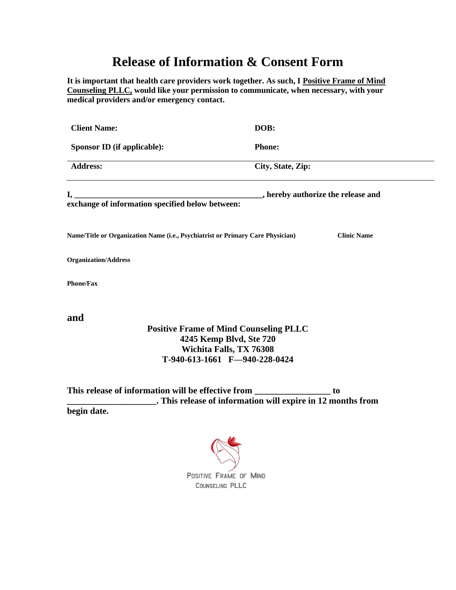## **Release of Information & Consent Form**

**It is important that health care providers work together. As such, I Positive Frame of Mind Counseling PLLC, would like your permission to communicate, when necessary, with your medical providers and/or emergency contact.**

| <b>Client Name:</b>                                                            | DOB:                                          |
|--------------------------------------------------------------------------------|-----------------------------------------------|
| Sponsor ID (if applicable):                                                    | <b>Phone:</b>                                 |
| <b>Address:</b>                                                                | City, State, Zip:                             |
| exchange of information specified below between:                               | , hereby authorize the release and            |
| Name/Title or Organization Name (i.e., Psychiatrist or Primary Care Physician) | <b>Clinic Name</b>                            |
| <b>Organization/Address</b>                                                    |                                               |
| <b>Phone/Fax</b>                                                               |                                               |
| and                                                                            |                                               |
|                                                                                | <b>Positive Frame of Mind Counseling PLLC</b> |
|                                                                                | 4245 Kemp Blvd, Ste 720                       |
|                                                                                | Wichita Falls, TX 76308                       |

**Wichita Falls, TX 76308 T-940-613-1661 F—940-228-0424**

**This release of information will be effective from \_\_\_\_\_\_\_\_\_\_\_\_\_\_\_\_\_ to \_\_\_\_\_\_\_\_\_\_\_\_\_\_\_\_\_\_\_\_. This release of information will expire in 12 months from begin date.**